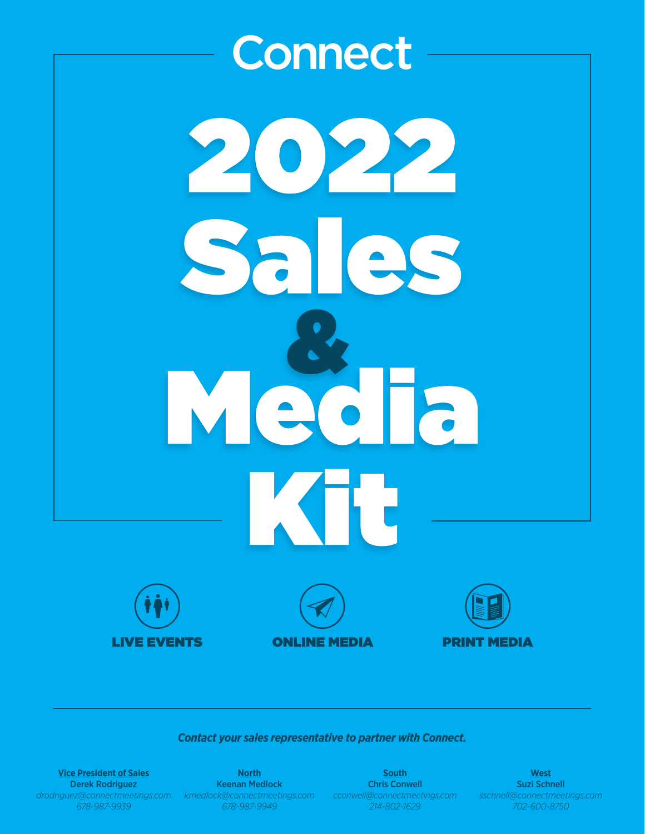

#### *Contact your sales representative to partner with Connect.*

**Vice President of Sales** Derek Rodriguez *drodriguez@connectmeetings.com 678-987-9939*

**North** Keenan Medlock *kmedlock@connectmeetings.com 678-987-9949*

**South** Chris Conwell *cconwell@connectmeetings.com 214-802-1629*

**West** Suzi Schnell *sschnell@connectmeetings.com 702-600-8750*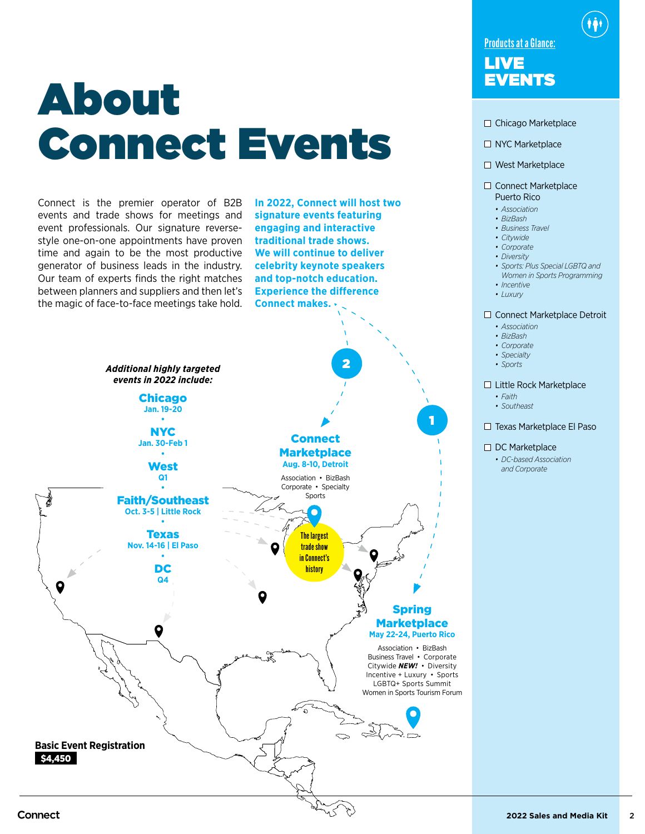# **About** Connect Events

Connect is the premier operator of B2B events and trade shows for meetings and event professionals. Our signature reversestyle one-on-one appointments have proven time and again to be the most productive generator of business leads in the industry. Our team of experts finds the right matches between planners and suppliers and then let's the magic of face-to-face meetings take hold. **In 2022, Connect will host two signature events featuring engaging and interactive traditional trade shows. We will continue to deliver celebrity keynote speakers and top-notch education. Experience the difference Connect makes.**



### Products at a Glance: LIVE<br>EVENTS

- □ Chicago Marketplace
- □ NYC Marketplace
- □ West Marketplace

#### □ Connect Marketplace Puerto Rico

- *• Association*
- *• BizBash*
- *• Business Travel*
- *• Citywide*
- *• Corporate*
- *• Diversity*
- *• Sports: Plus Special LGBTQ and Women in Sports Programming*
- *• Incentive*
- *• Luxury*

#### □ Connect Marketplace Detroit

- *• Association*
- *• BizBash*
- *• Corporate*
- *• Specialty*
- *• Sports*

#### □ Little Rock Marketplace

- *• Faith*
- *• Southeast*

#### □ Texas Marketplace El Paso

#### □ DC Marketplace

*• DC-based Association and Corporate*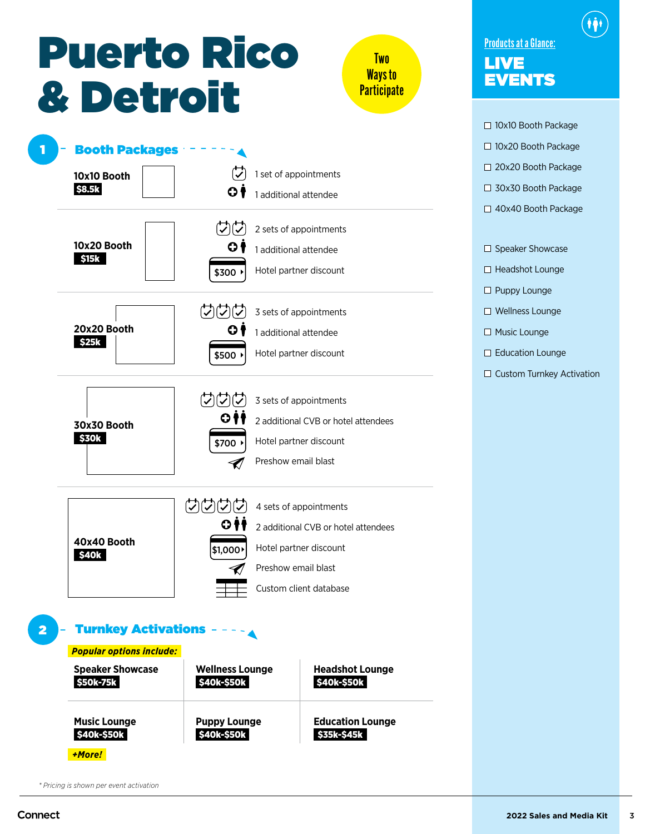### Puerto Rico & Detroit

**Two** Ways to **Participate** 



| $\Box$ 10x10 Booth Package |
|----------------------------|
| $\Box$ 10x20 Booth Package |
| □ 20x20 Booth Package      |
| $\Box$ 30x30 Booth Package |
| $\Box$ 40x40 Booth Package |
|                            |

Products at a Glance:

EVENTS

LIVE

 $\square$  Speaker Showcase

 $\Box$  Headshot Lounge

 $\square$  Puppy Lounge

□ Wellness Lounge

□ Music Lounge

 $\square$  Education Lounge

 $\square$  Custom Turnkey Activation

*\* Pricing is shown per event activation*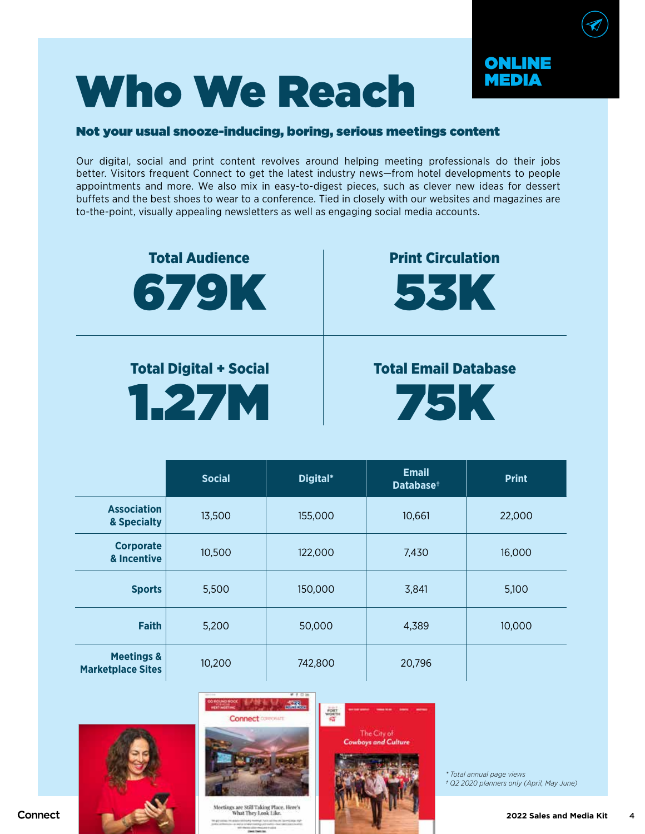## Who We Reach

#### Not your usual snooze-inducing, boring, serious meetings content

Our digital, social and print content revolves around helping meeting professionals do their jobs better. Visitors frequent Connect to get the latest industry news—from hotel developments to people appointments and more. We also mix in easy-to-digest pieces, such as clever new ideas for dessert buffets and the best shoes to wear to a conference. Tied in closely with our websites and magazines are to-the-point, visually appealing newsletters as well as engaging social media accounts.



Total Digital + Social 1.27M

### Total Email Database

ONLINE MEDIA



|                                                   | <b>Social</b> | Digital* | <b>Email</b><br>Database <sup>+</sup> | <b>Print</b> |
|---------------------------------------------------|---------------|----------|---------------------------------------|--------------|
| <b>Association</b><br>& Specialty                 | 13,500        | 155,000  | 10,661                                | 22,000       |
| <b>Corporate</b><br>& Incentive                   | 10,500        | 122,000  | 7,430                                 | 16,000       |
| <b>Sports</b>                                     | 5,500         | 150,000  | 3,841                                 | 5,100        |
| <b>Faith</b>                                      | 5,200         | 50,000   | 4,389                                 | 10,000       |
| <b>Meetings &amp;</b><br><b>Marketplace Sites</b> | 10,200        | 742,800  | 20,796                                |              |



Connect





*\* Total annual page views † Q2 2020 planners only (April, May June)*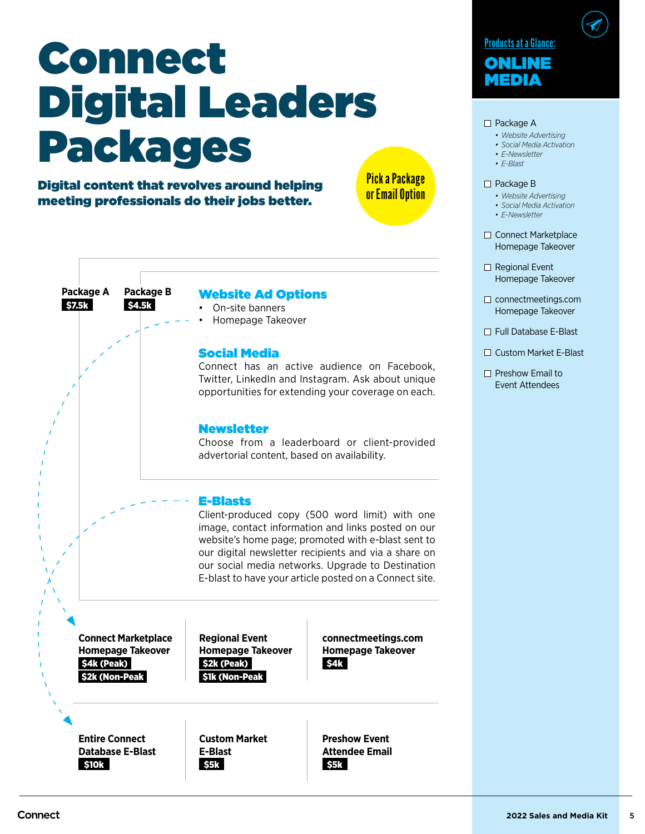# Connect Digital Leaders Packages

Pick a Package or Email Option

Digital content that revolves around helping meeting professionals do their jobs better.

> \$4.5k **Package B**



#### $\square$  Package A

- *• Website Advertising*
- *• Social Media Activation*
- *• E-Newsletter*
- *• E-Blast*

#### □ Package B

- *• Website Advertising*
- *• Social Media Activation*
- *• E-Newsletter*
- □ Connect Marketplace Homepage Takeover
- □ Regional Event Homepage Takeover
- $\square$  connectmeetings.com Homepage Takeover
- Full Database E-Blast
- □ Custom Market E-Blast
- $\Box$  Preshow Email to Event Attendees

Website Ad Options

• On-site banners • Homepage Takeover

Social Media Connect has an active audience on Facebook, Twitter, LinkedIn and Instagram. Ask about unique opportunities for extending your coverage on each.

#### Newsletter

Choose from a leaderboard or client-provided advertorial content, based on availability.

#### E-Blasts

Client-produced copy (500 word limit) with one image, contact information and links posted on our website's home page; promoted with e-blast sent to our digital newsletter recipients and via a share on our social media networks. Upgrade to Destination E-blast to have your article posted on a Connect site.

\$4k (Peak) \$2k (Non-Peak **Connect Marketplace Homepage Takeover**

\$7.5k **Package A**

> \$2k (Peak) \$1k (Non-Peak **Regional Event Homepage Takeover**

\$4k **connectmeetings.com Homepage Takeover**

\$10k **Entire Connect Database E-Blast** \$5k **Custom Market E-Blast**

\$5k **Preshow Event Attendee Email**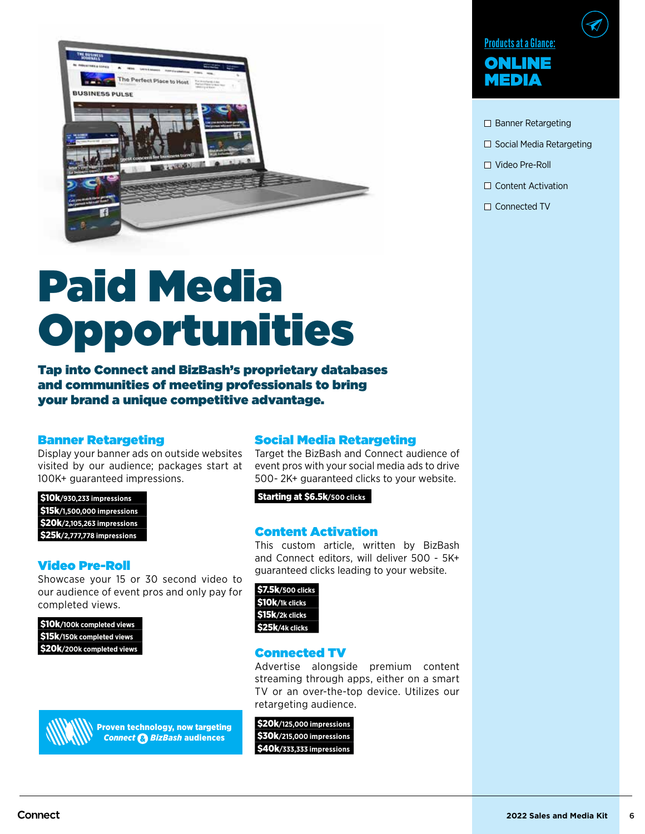

## Paid Media Opportunities

Tap into Connect and BizBash's proprietary databases and communities of meeting professionals to bring your brand a unique competitive advantage.

#### Banner Retargeting

Display your banner ads on outside websites visited by our audience; packages start at 100K+ guaranteed impressions.

\$10k**/930,233 impressions** \$15k**/1,500,000 impressions** \$20k**/2,105,263 impressions** \$25k**/2,777,778 impressions**

#### Video Pre-Roll

Showcase your 15 or 30 second video to our audience of event pros and only pay for completed views.

| \$10k/100k completed views |
|----------------------------|
| \$15k/150k completed views |
| \$20k/200k completed views |



Proven technology, now targeting *Connect BizBash* audiences

#### Social Media Retargeting

Target the BizBash and Connect audience of event pros with your social media ads to drive 500- 2K+ guaranteed clicks to your website.

Starting at \$6.5k**/500 clicks**

#### Content Activation

This custom article, written by BizBash and Connect editors, will deliver 500 - 5K+ guaranteed clicks leading to your website.



#### Connected TV

Advertise alongside premium content streaming through apps, either on a smart TV or an over-the-top device. Utilizes our retargeting audience.

\$20k**/125,000 impressions** \$30k**/215,000 impressions** \$40k**/333,333 impressions**



- $\square$  Banner Retargeting
- □ Social Media Retargeting
- Video Pre-Roll
- $\Box$  Content Activation
- □ Connected TV

Connect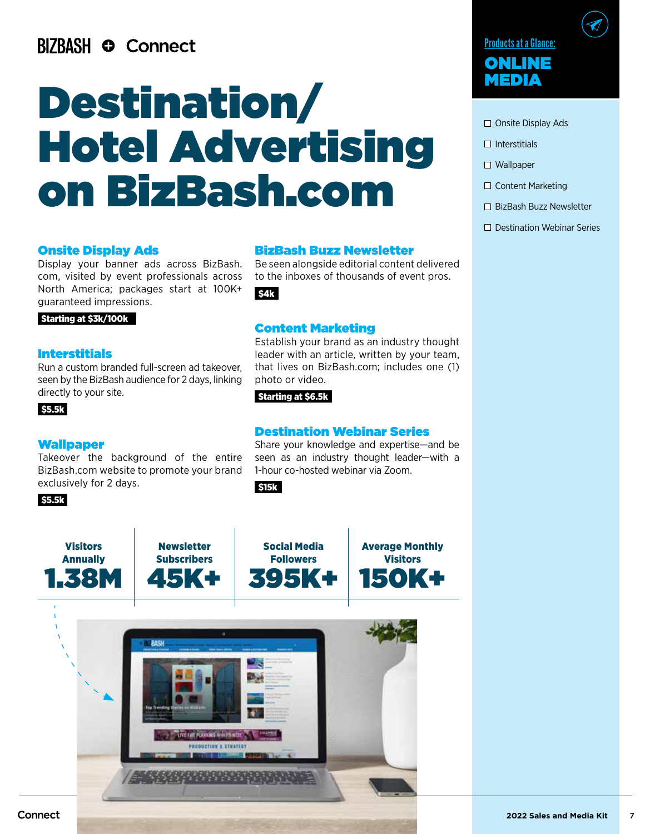### **BIZBASH © Connect**

## Destination/ Hotel Advertising on BizBash.com

#### Onsite Display Ads

Display your banner ads across BizBash. com, visited by event professionals across North America; packages start at 100K+ guaranteed impressions.

Starting at \$3k/100k

#### Interstitials

Run a custom branded full-screen ad takeover, seen by the BizBash audience for 2 days, linking directly to your site.

#### \$5.5k

#### Wallpaper

**Visitors** Annually 1.38M

Takeover the background of the entire BizBash.com website to promote your brand exclusively for 2 days.

> **Newsletter** Subscribers

45K+

#### \$5.5k

#### BizBash Buzz Newsletter

Be seen alongside editorial content delivered to the inboxes of thousands of event pros.

\$4k

#### Content Marketing

Establish your brand as an industry thought leader with an article, written by your team, that lives on BizBash.com; includes one (1) photo or video.

#### Starting at \$6.5k

Social Media **Followers** 

395K+

#### Destination Webinar Series

Share your knowledge and expertise—and be seen as an industry thought leader—with a 1-hour co-hosted webinar via Zoom.

> Average Monthly **Visitors** 150K+

\$15k





- $\Box$  Onsite Display Ads
- $\square$  Interstitials
- $\Box$  Wallpaper
- □ Content Marketing
- □ BizBash Buzz Newsletter
- $\square$  Destination Webinar Series